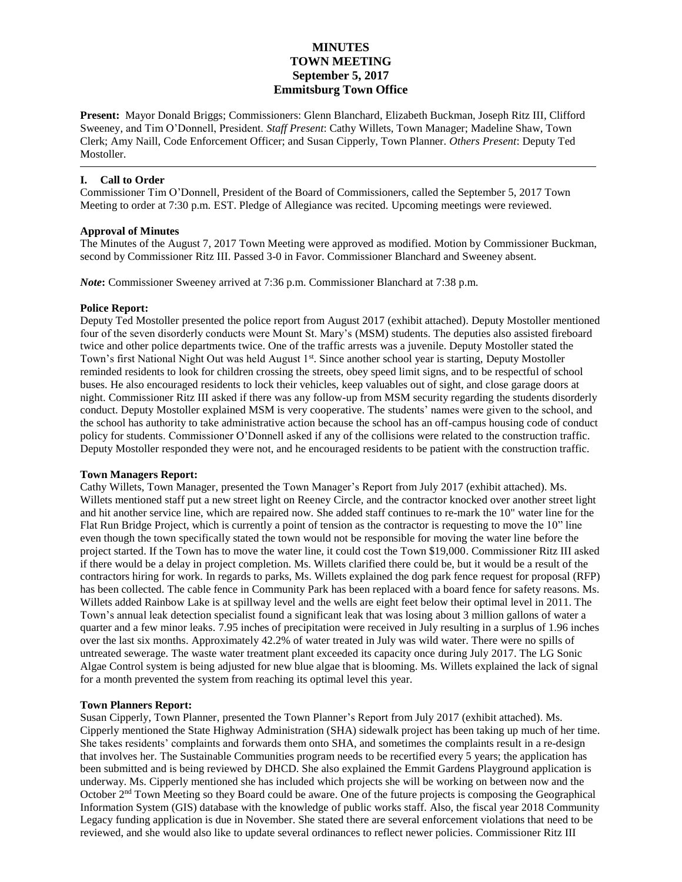# **MINUTES TOWN MEETING September 5, 2017 Emmitsburg Town Office**

**Present:** Mayor Donald Briggs; Commissioners: Glenn Blanchard, Elizabeth Buckman, Joseph Ritz III, Clifford Sweeney, and Tim O'Donnell, President. *Staff Present*: Cathy Willets, Town Manager; Madeline Shaw, Town Clerk; Amy Naill, Code Enforcement Officer; and Susan Cipperly, Town Planner. *Others Present*: Deputy Ted Mostoller.

## **I. Call to Order**

Commissioner Tim O'Donnell, President of the Board of Commissioners, called the September 5, 2017 Town Meeting to order at 7:30 p.m. EST. Pledge of Allegiance was recited. Upcoming meetings were reviewed.

## **Approval of Minutes**

The Minutes of the August 7, 2017 Town Meeting were approved as modified. Motion by Commissioner Buckman, second by Commissioner Ritz III. Passed 3-0 in Favor. Commissioner Blanchard and Sweeney absent.

*Note***:** Commissioner Sweeney arrived at 7:36 p.m. Commissioner Blanchard at 7:38 p.m.

## **Police Report:**

Deputy Ted Mostoller presented the police report from August 2017 (exhibit attached). Deputy Mostoller mentioned four of the seven disorderly conducts were Mount St. Mary's (MSM) students. The deputies also assisted fireboard twice and other police departments twice. One of the traffic arrests was a juvenile. Deputy Mostoller stated the Town's first National Night Out was held August 1<sup>st</sup>. Since another school year is starting, Deputy Mostoller reminded residents to look for children crossing the streets, obey speed limit signs, and to be respectful of school buses. He also encouraged residents to lock their vehicles, keep valuables out of sight, and close garage doors at night. Commissioner Ritz III asked if there was any follow-up from MSM security regarding the students disorderly conduct. Deputy Mostoller explained MSM is very cooperative. The students' names were given to the school, and the school has authority to take administrative action because the school has an off-campus housing code of conduct policy for students. Commissioner O'Donnell asked if any of the collisions were related to the construction traffic. Deputy Mostoller responded they were not, and he encouraged residents to be patient with the construction traffic.

## **Town Managers Report:**

Cathy Willets, Town Manager, presented the Town Manager's Report from July 2017 (exhibit attached). Ms. Willets mentioned staff put a new street light on Reeney Circle, and the contractor knocked over another street light and hit another service line, which are repaired now. She added staff continues to re-mark the 10" water line for the Flat Run Bridge Project, which is currently a point of tension as the contractor is requesting to move the 10" line even though the town specifically stated the town would not be responsible for moving the water line before the project started. If the Town has to move the water line, it could cost the Town \$19,000. Commissioner Ritz III asked if there would be a delay in project completion. Ms. Willets clarified there could be, but it would be a result of the contractors hiring for work. In regards to parks, Ms. Willets explained the dog park fence request for proposal (RFP) has been collected. The cable fence in Community Park has been replaced with a board fence for safety reasons. Ms. Willets added Rainbow Lake is at spillway level and the wells are eight feet below their optimal level in 2011. The Town's annual leak detection specialist found a significant leak that was losing about 3 million gallons of water a quarter and a few minor leaks. 7.95 inches of precipitation were received in July resulting in a surplus of 1.96 inches over the last six months. Approximately 42.2% of water treated in July was wild water. There were no spills of untreated sewerage. The waste water treatment plant exceeded its capacity once during July 2017. The LG Sonic Algae Control system is being adjusted for new blue algae that is blooming. Ms. Willets explained the lack of signal for a month prevented the system from reaching its optimal level this year.

## **Town Planners Report:**

Susan Cipperly, Town Planner, presented the Town Planner's Report from July 2017 (exhibit attached). Ms. Cipperly mentioned the State Highway Administration (SHA) sidewalk project has been taking up much of her time. She takes residents' complaints and forwards them onto SHA, and sometimes the complaints result in a re-design that involves her. The Sustainable Communities program needs to be recertified every 5 years; the application has been submitted and is being reviewed by DHCD. She also explained the Emmit Gardens Playground application is underway. Ms. Cipperly mentioned she has included which projects she will be working on between now and the October 2<sup>nd</sup> Town Meeting so they Board could be aware. One of the future projects is composing the Geographical Information System (GIS) database with the knowledge of public works staff. Also, the fiscal year 2018 Community Legacy funding application is due in November. She stated there are several enforcement violations that need to be reviewed, and she would also like to update several ordinances to reflect newer policies. Commissioner Ritz III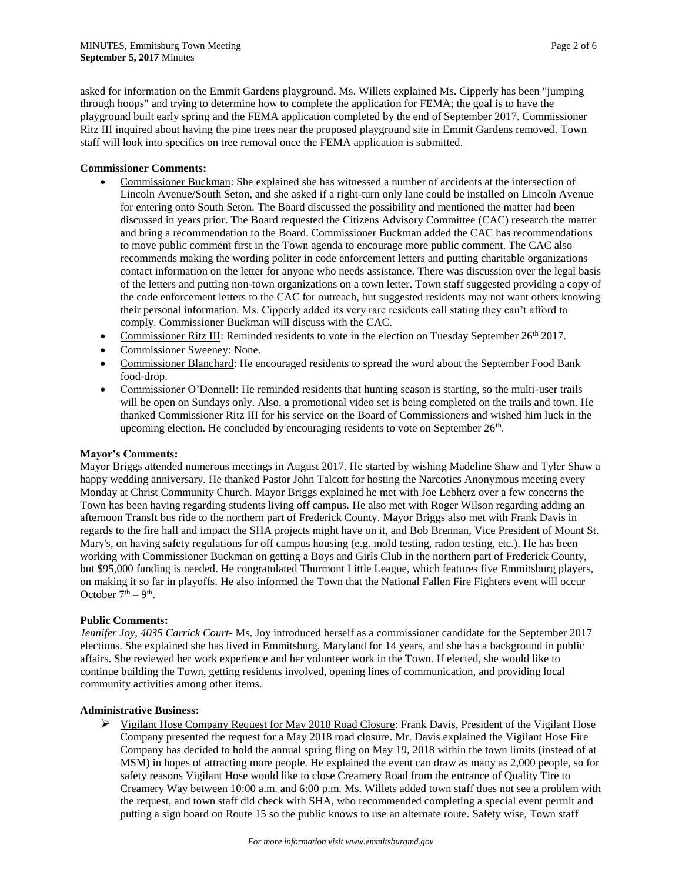asked for information on the Emmit Gardens playground. Ms. Willets explained Ms. Cipperly has been "jumping through hoops" and trying to determine how to complete the application for FEMA; the goal is to have the playground built early spring and the FEMA application completed by the end of September 2017. Commissioner Ritz III inquired about having the pine trees near the proposed playground site in Emmit Gardens removed. Town staff will look into specifics on tree removal once the FEMA application is submitted.

## **Commissioner Comments:**

- Commissioner Buckman: She explained she has witnessed a number of accidents at the intersection of Lincoln Avenue/South Seton, and she asked if a right-turn only lane could be installed on Lincoln Avenue for entering onto South Seton. The Board discussed the possibility and mentioned the matter had been discussed in years prior. The Board requested the Citizens Advisory Committee (CAC) research the matter and bring a recommendation to the Board. Commissioner Buckman added the CAC has recommendations to move public comment first in the Town agenda to encourage more public comment. The CAC also recommends making the wording politer in code enforcement letters and putting charitable organizations contact information on the letter for anyone who needs assistance. There was discussion over the legal basis of the letters and putting non-town organizations on a town letter. Town staff suggested providing a copy of the code enforcement letters to the CAC for outreach, but suggested residents may not want others knowing their personal information. Ms. Cipperly added its very rare residents call stating they can't afford to comply. Commissioner Buckman will discuss with the CAC.
- Commissioner Ritz III: Reminded residents to vote in the election on Tuesday September 26<sup>th</sup> 2017.
- Commissioner Sweeney: None.
- Commissioner Blanchard: He encouraged residents to spread the word about the September Food Bank food-drop.
- Commissioner O'Donnell: He reminded residents that hunting season is starting, so the multi-user trails will be open on Sundays only. Also, a promotional video set is being completed on the trails and town. He thanked Commissioner Ritz III for his service on the Board of Commissioners and wished him luck in the upcoming election. He concluded by encouraging residents to vote on September  $26<sup>th</sup>$ .

## **Mayor's Comments:**

Mayor Briggs attended numerous meetings in August 2017. He started by wishing Madeline Shaw and Tyler Shaw a happy wedding anniversary. He thanked Pastor John Talcott for hosting the Narcotics Anonymous meeting every Monday at Christ Community Church. Mayor Briggs explained he met with Joe Lebherz over a few concerns the Town has been having regarding students living off campus. He also met with Roger Wilson regarding adding an afternoon TransIt bus ride to the northern part of Frederick County. Mayor Briggs also met with Frank Davis in regards to the fire hall and impact the SHA projects might have on it, and Bob Brennan, Vice President of Mount St. Mary's, on having safety regulations for off campus housing (e.g. mold testing, radon testing, etc.). He has been working with Commissioner Buckman on getting a Boys and Girls Club in the northern part of Frederick County, but \$95,000 funding is needed. He congratulated Thurmont Little League, which features five Emmitsburg players, on making it so far in playoffs. He also informed the Town that the National Fallen Fire Fighters event will occur October  $7<sup>th</sup> - 9<sup>th</sup>$ .

## **Public Comments:**

*Jennifer Joy, 4035 Carrick Court-* Ms. Joy introduced herself as a commissioner candidate for the September 2017 elections. She explained she has lived in Emmitsburg, Maryland for 14 years, and she has a background in public affairs. She reviewed her work experience and her volunteer work in the Town. If elected, she would like to continue building the Town, getting residents involved, opening lines of communication, and providing local community activities among other items.

## **Administrative Business:**

 $\triangleright$  Vigilant Hose Company Request for May 2018 Road Closure: Frank Davis, President of the Vigilant Hose Company presented the request for a May 2018 road closure. Mr. Davis explained the Vigilant Hose Fire Company has decided to hold the annual spring fling on May 19, 2018 within the town limits (instead of at MSM) in hopes of attracting more people. He explained the event can draw as many as 2,000 people, so for safety reasons Vigilant Hose would like to close Creamery Road from the entrance of Quality Tire to Creamery Way between 10:00 a.m. and 6:00 p.m. Ms. Willets added town staff does not see a problem with the request, and town staff did check with SHA, who recommended completing a special event permit and putting a sign board on Route 15 so the public knows to use an alternate route. Safety wise, Town staff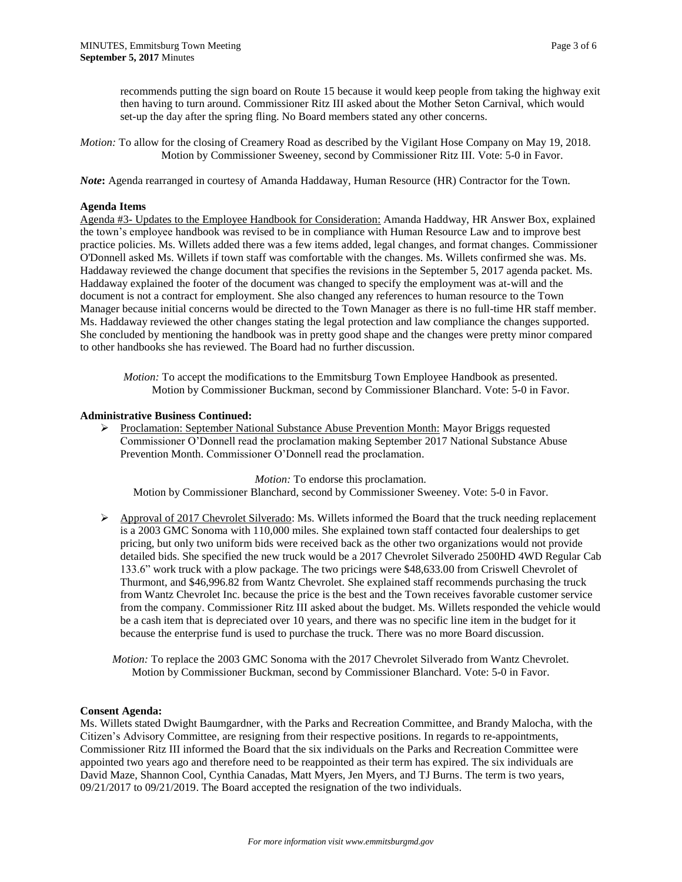recommends putting the sign board on Route 15 because it would keep people from taking the highway exit then having to turn around. Commissioner Ritz III asked about the Mother Seton Carnival, which would set-up the day after the spring fling. No Board members stated any other concerns.

*Motion:* To allow for the closing of Creamery Road as described by the Vigilant Hose Company on May 19, 2018. Motion by Commissioner Sweeney, second by Commissioner Ritz III. Vote: 5-0 in Favor.

*Note***:** Agenda rearranged in courtesy of Amanda Haddaway, Human Resource (HR) Contractor for the Town.

#### **Agenda Items**

Agenda #3- Updates to the Employee Handbook for Consideration: Amanda Haddway, HR Answer Box, explained the town's employee handbook was revised to be in compliance with Human Resource Law and to improve best practice policies. Ms. Willets added there was a few items added, legal changes, and format changes. Commissioner O'Donnell asked Ms. Willets if town staff was comfortable with the changes. Ms. Willets confirmed she was. Ms. Haddaway reviewed the change document that specifies the revisions in the September 5, 2017 agenda packet. Ms. Haddaway explained the footer of the document was changed to specify the employment was at-will and the document is not a contract for employment. She also changed any references to human resource to the Town Manager because initial concerns would be directed to the Town Manager as there is no full-time HR staff member. Ms. Haddaway reviewed the other changes stating the legal protection and law compliance the changes supported. She concluded by mentioning the handbook was in pretty good shape and the changes were pretty minor compared to other handbooks she has reviewed. The Board had no further discussion.

*Motion:* To accept the modifications to the Emmitsburg Town Employee Handbook as presented. Motion by Commissioner Buckman, second by Commissioner Blanchard. Vote: 5-0 in Favor.

## **Administrative Business Continued:**

 Proclamation: September National Substance Abuse Prevention Month: Mayor Briggs requested Commissioner O'Donnell read the proclamation making September 2017 National Substance Abuse Prevention Month. Commissioner O'Donnell read the proclamation.

*Motion:* To endorse this proclamation.

Motion by Commissioner Blanchard, second by Commissioner Sweeney. Vote: 5-0 in Favor.

 $\triangleright$  Approval of 2017 Chevrolet Silverado: Ms. Willets informed the Board that the truck needing replacement is a 2003 GMC Sonoma with 110,000 miles. She explained town staff contacted four dealerships to get pricing, but only two uniform bids were received back as the other two organizations would not provide detailed bids. She specified the new truck would be a 2017 Chevrolet Silverado 2500HD 4WD Regular Cab 133.6" work truck with a plow package. The two pricings were \$48,633.00 from Criswell Chevrolet of Thurmont, and \$46,996.82 from Wantz Chevrolet. She explained staff recommends purchasing the truck from Wantz Chevrolet Inc. because the price is the best and the Town receives favorable customer service from the company. Commissioner Ritz III asked about the budget. Ms. Willets responded the vehicle would be a cash item that is depreciated over 10 years, and there was no specific line item in the budget for it because the enterprise fund is used to purchase the truck. There was no more Board discussion.

*Motion:* To replace the 2003 GMC Sonoma with the 2017 Chevrolet Silverado from Wantz Chevrolet. Motion by Commissioner Buckman, second by Commissioner Blanchard. Vote: 5-0 in Favor.

#### **Consent Agenda:**

Ms. Willets stated Dwight Baumgardner, with the Parks and Recreation Committee, and Brandy Malocha, with the Citizen's Advisory Committee, are resigning from their respective positions. In regards to re-appointments, Commissioner Ritz III informed the Board that the six individuals on the Parks and Recreation Committee were appointed two years ago and therefore need to be reappointed as their term has expired. The six individuals are David Maze, Shannon Cool, Cynthia Canadas, Matt Myers, Jen Myers, and TJ Burns. The term is two years, 09/21/2017 to 09/21/2019. The Board accepted the resignation of the two individuals.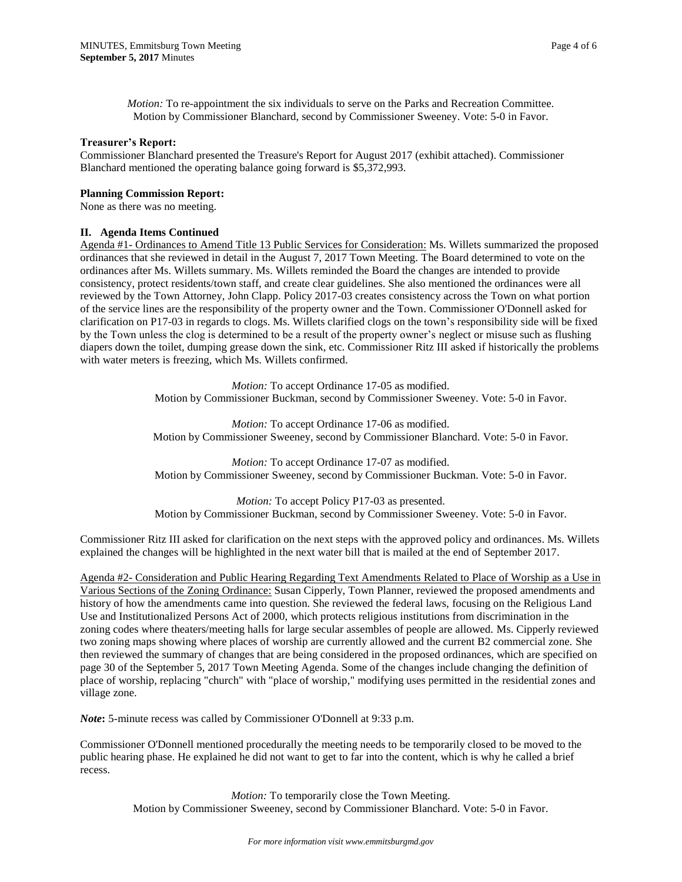*Motion:* To re-appointment the six individuals to serve on the Parks and Recreation Committee. Motion by Commissioner Blanchard, second by Commissioner Sweeney. Vote: 5-0 in Favor.

#### **Treasurer's Report:**

Commissioner Blanchard presented the Treasure's Report for August 2017 (exhibit attached). Commissioner Blanchard mentioned the operating balance going forward is \$5,372,993.

#### **Planning Commission Report:**

None as there was no meeting.

## **II. Agenda Items Continued**

Agenda #1- Ordinances to Amend Title 13 Public Services for Consideration: Ms. Willets summarized the proposed ordinances that she reviewed in detail in the August 7, 2017 Town Meeting. The Board determined to vote on the ordinances after Ms. Willets summary. Ms. Willets reminded the Board the changes are intended to provide consistency, protect residents/town staff, and create clear guidelines. She also mentioned the ordinances were all reviewed by the Town Attorney, John Clapp. Policy 2017-03 creates consistency across the Town on what portion of the service lines are the responsibility of the property owner and the Town. Commissioner O'Donnell asked for clarification on P17-03 in regards to clogs. Ms. Willets clarified clogs on the town's responsibility side will be fixed by the Town unless the clog is determined to be a result of the property owner's neglect or misuse such as flushing diapers down the toilet, dumping grease down the sink, etc. Commissioner Ritz III asked if historically the problems with water meters is freezing, which Ms. Willets confirmed.

> *Motion:* To accept Ordinance 17-05 as modified. Motion by Commissioner Buckman, second by Commissioner Sweeney. Vote: 5-0 in Favor.

> *Motion:* To accept Ordinance 17-06 as modified. Motion by Commissioner Sweeney, second by Commissioner Blanchard. Vote: 5-0 in Favor.

> *Motion:* To accept Ordinance 17-07 as modified. Motion by Commissioner Sweeney, second by Commissioner Buckman. Vote: 5-0 in Favor.

> *Motion:* To accept Policy P17-03 as presented. Motion by Commissioner Buckman, second by Commissioner Sweeney. Vote: 5-0 in Favor.

Commissioner Ritz III asked for clarification on the next steps with the approved policy and ordinances. Ms. Willets explained the changes will be highlighted in the next water bill that is mailed at the end of September 2017.

Agenda #2- Consideration and Public Hearing Regarding Text Amendments Related to Place of Worship as a Use in Various Sections of the Zoning Ordinance: Susan Cipperly, Town Planner, reviewed the proposed amendments and history of how the amendments came into question. She reviewed the federal laws, focusing on the Religious Land Use and Institutionalized Persons Act of 2000, which protects religious institutions from discrimination in the zoning codes where theaters/meeting halls for large secular assembles of people are allowed. Ms. Cipperly reviewed two zoning maps showing where places of worship are currently allowed and the current B2 commercial zone. She then reviewed the summary of changes that are being considered in the proposed ordinances, which are specified on page 30 of the September 5, 2017 Town Meeting Agenda. Some of the changes include changing the definition of place of worship, replacing "church" with "place of worship," modifying uses permitted in the residential zones and village zone.

*Note***:** 5-minute recess was called by Commissioner O'Donnell at 9:33 p.m.

Commissioner O'Donnell mentioned procedurally the meeting needs to be temporarily closed to be moved to the public hearing phase. He explained he did not want to get to far into the content, which is why he called a brief recess.

> *Motion:* To temporarily close the Town Meeting. Motion by Commissioner Sweeney, second by Commissioner Blanchard. Vote: 5-0 in Favor.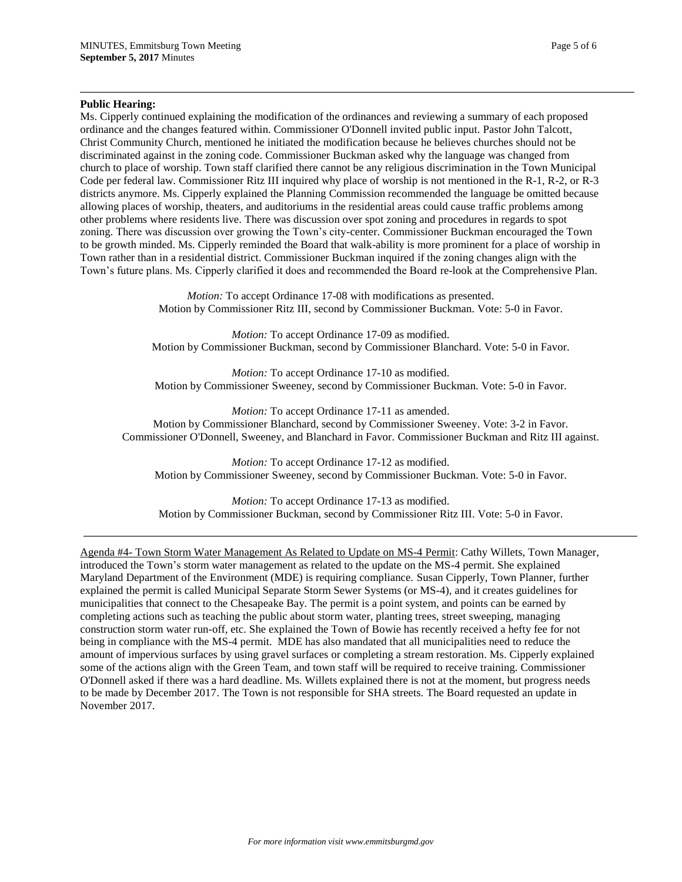## **Public Hearing:**

Ms. Cipperly continued explaining the modification of the ordinances and reviewing a summary of each proposed ordinance and the changes featured within. Commissioner O'Donnell invited public input. Pastor John Talcott, Christ Community Church, mentioned he initiated the modification because he believes churches should not be discriminated against in the zoning code. Commissioner Buckman asked why the language was changed from church to place of worship. Town staff clarified there cannot be any religious discrimination in the Town Municipal Code per federal law. Commissioner Ritz III inquired why place of worship is not mentioned in the R-1, R-2, or R-3 districts anymore. Ms. Cipperly explained the Planning Commission recommended the language be omitted because allowing places of worship, theaters, and auditoriums in the residential areas could cause traffic problems among other problems where residents live. There was discussion over spot zoning and procedures in regards to spot zoning. There was discussion over growing the Town's city-center. Commissioner Buckman encouraged the Town to be growth minded. Ms. Cipperly reminded the Board that walk-ability is more prominent for a place of worship in Town rather than in a residential district. Commissioner Buckman inquired if the zoning changes align with the Town's future plans. Ms. Cipperly clarified it does and recommended the Board re-look at the Comprehensive Plan.

> *Motion:* To accept Ordinance 17-08 with modifications as presented. Motion by Commissioner Ritz III, second by Commissioner Buckman. Vote: 5-0 in Favor.

*Motion:* To accept Ordinance 17-09 as modified. Motion by Commissioner Buckman, second by Commissioner Blanchard. Vote: 5-0 in Favor.

*Motion:* To accept Ordinance 17-10 as modified. Motion by Commissioner Sweeney, second by Commissioner Buckman. Vote: 5-0 in Favor.

*Motion:* To accept Ordinance 17-11 as amended. Motion by Commissioner Blanchard, second by Commissioner Sweeney. Vote: 3-2 in Favor. Commissioner O'Donnell, Sweeney, and Blanchard in Favor. Commissioner Buckman and Ritz III against.

*Motion:* To accept Ordinance 17-12 as modified. Motion by Commissioner Sweeney, second by Commissioner Buckman. Vote: 5-0 in Favor.

*Motion:* To accept Ordinance 17-13 as modified. Motion by Commissioner Buckman, second by Commissioner Ritz III. Vote: 5-0 in Favor.

Agenda #4- Town Storm Water Management As Related to Update on MS-4 Permit: Cathy Willets, Town Manager, introduced the Town's storm water management as related to the update on the MS-4 permit. She explained Maryland Department of the Environment (MDE) is requiring compliance. Susan Cipperly, Town Planner, further explained the permit is called Municipal Separate Storm Sewer Systems (or MS-4), and it creates guidelines for municipalities that connect to the Chesapeake Bay. The permit is a point system, and points can be earned by completing actions such as teaching the public about storm water, planting trees, street sweeping, managing construction storm water run-off, etc. She explained the Town of Bowie has recently received a hefty fee for not being in compliance with the MS-4 permit. MDE has also mandated that all municipalities need to reduce the amount of impervious surfaces by using gravel surfaces or completing a stream restoration. Ms. Cipperly explained some of the actions align with the Green Team, and town staff will be required to receive training. Commissioner O'Donnell asked if there was a hard deadline. Ms. Willets explained there is not at the moment, but progress needs to be made by December 2017. The Town is not responsible for SHA streets. The Board requested an update in November 2017.